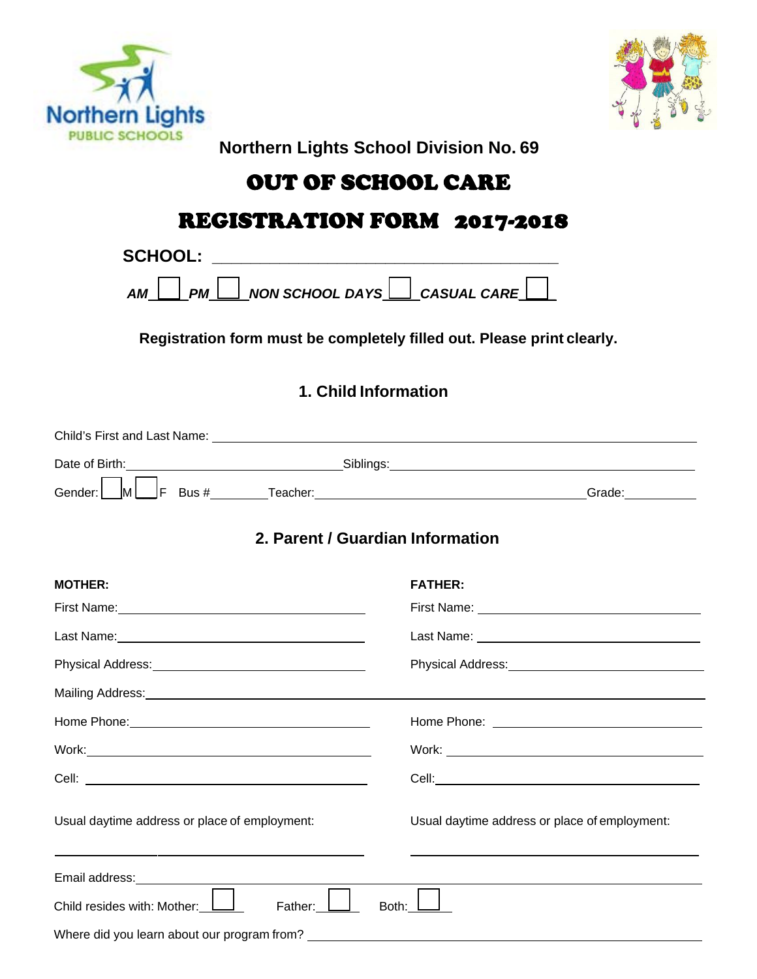



**Northern Lights School Division No. 69**

# OUT OF SCHOOL CARE

# REGISTRATION FORM 2017-2018

| <b>SCHOOL:</b>                                                                                                                                    |                                                                                                                                                                                                                                    |  |  |  |                      |
|---------------------------------------------------------------------------------------------------------------------------------------------------|------------------------------------------------------------------------------------------------------------------------------------------------------------------------------------------------------------------------------------|--|--|--|----------------------|
| $\perp$ NON SCHOOL DAYS $\Box$ CASUAL CARE $\lfloor$<br>PM<br><b>AM</b><br>Registration form must be completely filled out. Please print clearly. |                                                                                                                                                                                                                                    |  |  |  |                      |
|                                                                                                                                                   |                                                                                                                                                                                                                                    |  |  |  | 1. Child Information |
|                                                                                                                                                   |                                                                                                                                                                                                                                    |  |  |  |                      |
|                                                                                                                                                   | Date of Birth: <u>contract and contract and contract and Siblings:</u> Contract and Contract and Contract and Contract and Contract and Contract and Contract and Contract and Contract and Contract and Contract and Contract and |  |  |  |                      |
|                                                                                                                                                   |                                                                                                                                                                                                                                    |  |  |  |                      |
|                                                                                                                                                   | 2. Parent / Guardian Information                                                                                                                                                                                                   |  |  |  |                      |
| <b>MOTHER:</b>                                                                                                                                    | <b>FATHER:</b>                                                                                                                                                                                                                     |  |  |  |                      |
|                                                                                                                                                   |                                                                                                                                                                                                                                    |  |  |  |                      |
|                                                                                                                                                   |                                                                                                                                                                                                                                    |  |  |  |                      |
|                                                                                                                                                   | Physical Address: Management Christmas and Physical Address: Management Christmas and Physical Address                                                                                                                             |  |  |  |                      |
|                                                                                                                                                   |                                                                                                                                                                                                                                    |  |  |  |                      |
|                                                                                                                                                   |                                                                                                                                                                                                                                    |  |  |  |                      |
|                                                                                                                                                   |                                                                                                                                                                                                                                    |  |  |  |                      |
|                                                                                                                                                   |                                                                                                                                                                                                                                    |  |  |  |                      |
| Usual daytime address or place of employment:                                                                                                     | Usual daytime address or place of employment:                                                                                                                                                                                      |  |  |  |                      |
| Email address:                                                                                                                                    |                                                                                                                                                                                                                                    |  |  |  |                      |
| Child resides with: Mother:<br>Father:                                                                                                            | Both:                                                                                                                                                                                                                              |  |  |  |                      |
|                                                                                                                                                   |                                                                                                                                                                                                                                    |  |  |  |                      |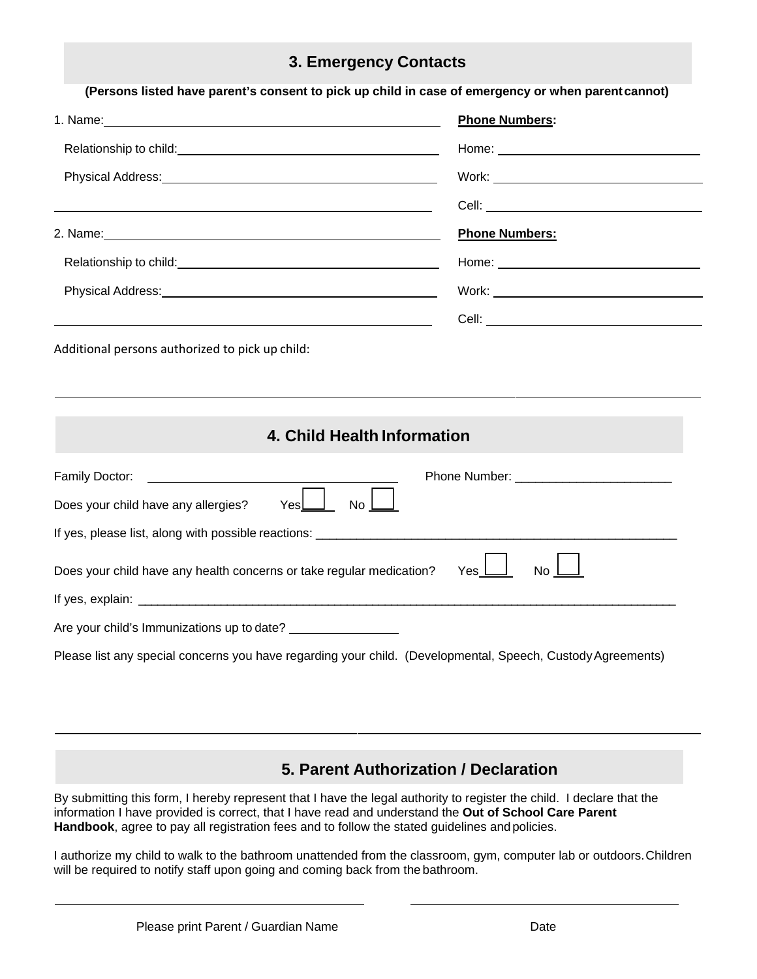### **3. Emergency Contacts**

|                                                                                                                                                                                                                                | <b>Phone Numbers:</b>                                                                                                                                                                                                               |  |
|--------------------------------------------------------------------------------------------------------------------------------------------------------------------------------------------------------------------------------|-------------------------------------------------------------------------------------------------------------------------------------------------------------------------------------------------------------------------------------|--|
|                                                                                                                                                                                                                                |                                                                                                                                                                                                                                     |  |
|                                                                                                                                                                                                                                |                                                                                                                                                                                                                                     |  |
|                                                                                                                                                                                                                                | Cell: <u>Cell</u> Cell Contract Contract Contract Contract Contract Contract Contract Contract Contract Contract Contract Contract Contract Contract Contract Contract Contract Contract Contract Contract Contract Contract Contra |  |
|                                                                                                                                                                                                                                | <b>Phone Numbers:</b>                                                                                                                                                                                                               |  |
|                                                                                                                                                                                                                                | Home: Note: Note: Note: Note: Note: Note: Note: Note: Note: Note: Note: Note: Note: Note: Note: Note: Note: No                                                                                                                      |  |
| Physical Address: No. 1996. The Contract of the Contract of the Contract of the Contract of the Contract of the Contract of the Contract of the Contract of the Contract of the Contract of the Contract of the Contract of th |                                                                                                                                                                                                                                     |  |
| <u> 1989 - Andrea Barbara, Amerikaansk politiker (d. 1989)</u>                                                                                                                                                                 |                                                                                                                                                                                                                                     |  |
|                                                                                                                                                                                                                                |                                                                                                                                                                                                                                     |  |
| Additional persons authorized to pick up child:                                                                                                                                                                                | 4. Child Health Information                                                                                                                                                                                                         |  |
|                                                                                                                                                                                                                                |                                                                                                                                                                                                                                     |  |
| $\mathsf{Yes}\square$                                                                                                                                                                                                          | No l                                                                                                                                                                                                                                |  |
|                                                                                                                                                                                                                                |                                                                                                                                                                                                                                     |  |
|                                                                                                                                                                                                                                | Yes  <br><b>No</b>                                                                                                                                                                                                                  |  |
|                                                                                                                                                                                                                                |                                                                                                                                                                                                                                     |  |
| Family Doctor:<br>Does your child have any allergies?<br>Does your child have any health concerns or take regular medication?<br>Are your child's Immunizations up to date?                                                    |                                                                                                                                                                                                                                     |  |

### **5. Parent Authorization / Declaration**

By submitting this form, I hereby represent that I have the legal authority to register the child. I declare that the information I have provided is correct, that I have read and understand the **Out of School Care Parent Handbook**, agree to pay all registration fees and to follow the stated guidelines and policies.

I authorize my child to walk to the bathroom unattended from the classroom, gym, computer lab or outdoors. Children will be required to notify staff upon going and coming back from the bathroom.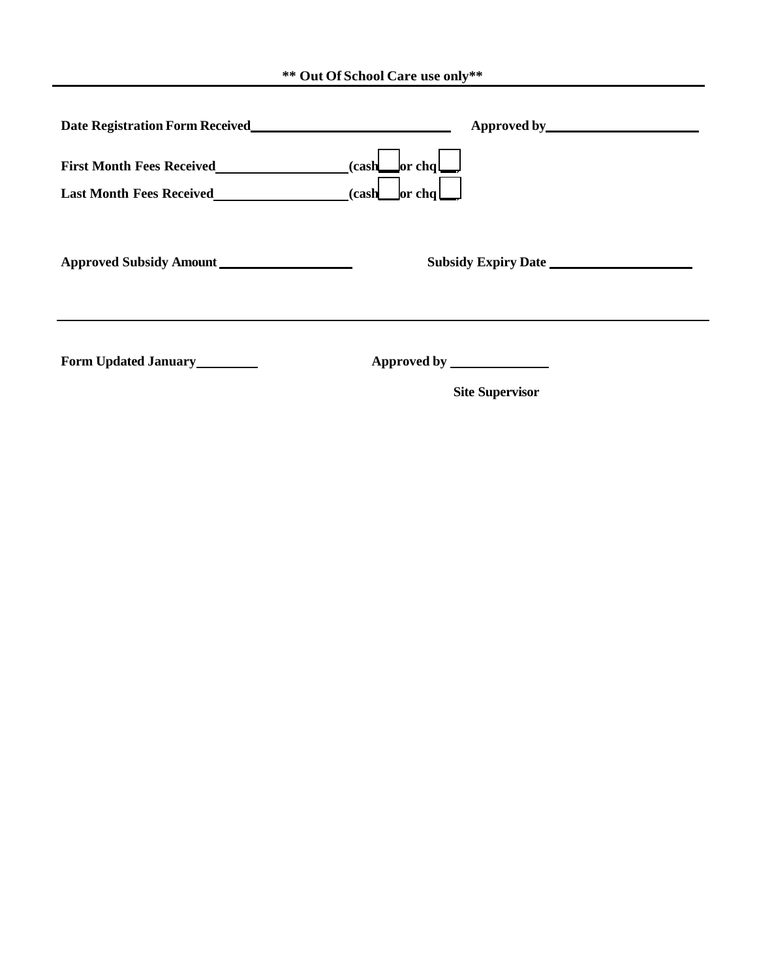**\*\* Out Of School Care use only\*\***

|                                                                     | Approved by <u>Approved by Approved by Approved by Approved by Approved Banks and Approved Banks and Approved Banks and Approved Banks and Approved Banks and Approved Banks and Approved Banks and Approved Banks and Approved </u> |
|---------------------------------------------------------------------|--------------------------------------------------------------------------------------------------------------------------------------------------------------------------------------------------------------------------------------|
| <b>First Month Fees Received</b><br><b>Last Month Fees Received</b> | $(cash \_$ or chq<br>(cash<br>$\vert$ or chq $\vert$                                                                                                                                                                                 |
| Approved Subsidy Amount                                             | <b>Subsidy Expiry Date</b>                                                                                                                                                                                                           |
| <b>Form Updated January</b>                                         | Approved by <u>superscription</u><br><b>Site Supervisor</b>                                                                                                                                                                          |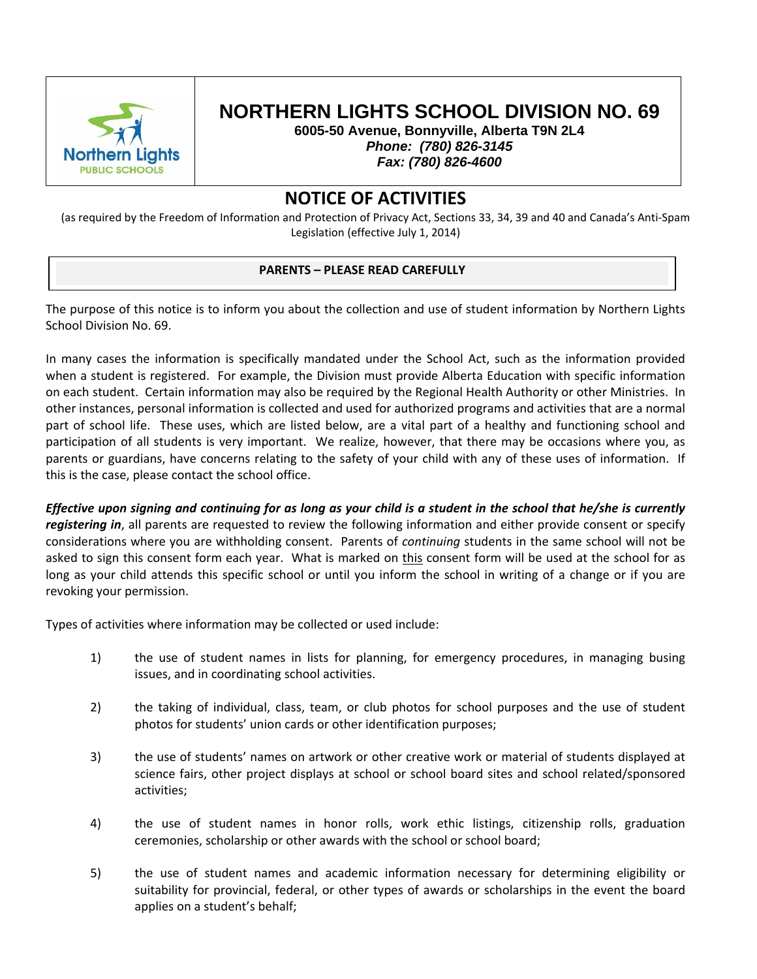

# **NORTHERN LIGHTS SCHOOL DIVISION NO. 69**

**6005-50 Avenue, Bonnyville, Alberta T9N 2L4**  *Phone: (780) 826-3145 Fax: (780) 826-4600* 

### **NOTICE OF ACTIVITIES**

(as required by the Freedom of Information and Protection of Privacy Act, Sections 33, 34, 39 and 40 and Canada's Anti‐Spam Legislation (effective July 1, 2014)

#### **PARENTS – PLEASE READ CAREFULLY**

The purpose of this notice is to inform you about the collection and use of student information by Northern Lights School Division No. 69.

In many cases the information is specifically mandated under the School Act, such as the information provided when a student is registered. For example, the Division must provide Alberta Education with specific information on each student. Certain information may also be required by the Regional Health Authority or other Ministries. In other instances, personal information is collected and used for authorized programs and activities that are a normal part of school life. These uses, which are listed below, are a vital part of a healthy and functioning school and participation of all students is very important. We realize, however, that there may be occasions where you, as parents or guardians, have concerns relating to the safety of your child with any of these uses of information. If this is the case, please contact the school office.

Effective upon signing and continuing for as long as your child is a student in the school that he/she is currently *registering in*, all parents are requested to review the following information and either provide consent or specify considerations where you are withholding consent. Parents of *continuing* students in the same school will not be asked to sign this consent form each year. What is marked on this consent form will be used at the school for as long as your child attends this specific school or until you inform the school in writing of a change or if you are revoking your permission.

Types of activities where information may be collected or used include:

- 1) the use of student names in lists for planning, for emergency procedures, in managing busing issues, and in coordinating school activities.
- 2) the taking of individual, class, team, or club photos for school purposes and the use of student photos for students' union cards or other identification purposes;
- 3) the use of students' names on artwork or other creative work or material of students displayed at science fairs, other project displays at school or school board sites and school related/sponsored activities;
- 4) the use of student names in honor rolls, work ethic listings, citizenship rolls, graduation ceremonies, scholarship or other awards with the school or school board;
- 5) the use of student names and academic information necessary for determining eligibility or suitability for provincial, federal, or other types of awards or scholarships in the event the board applies on a student's behalf;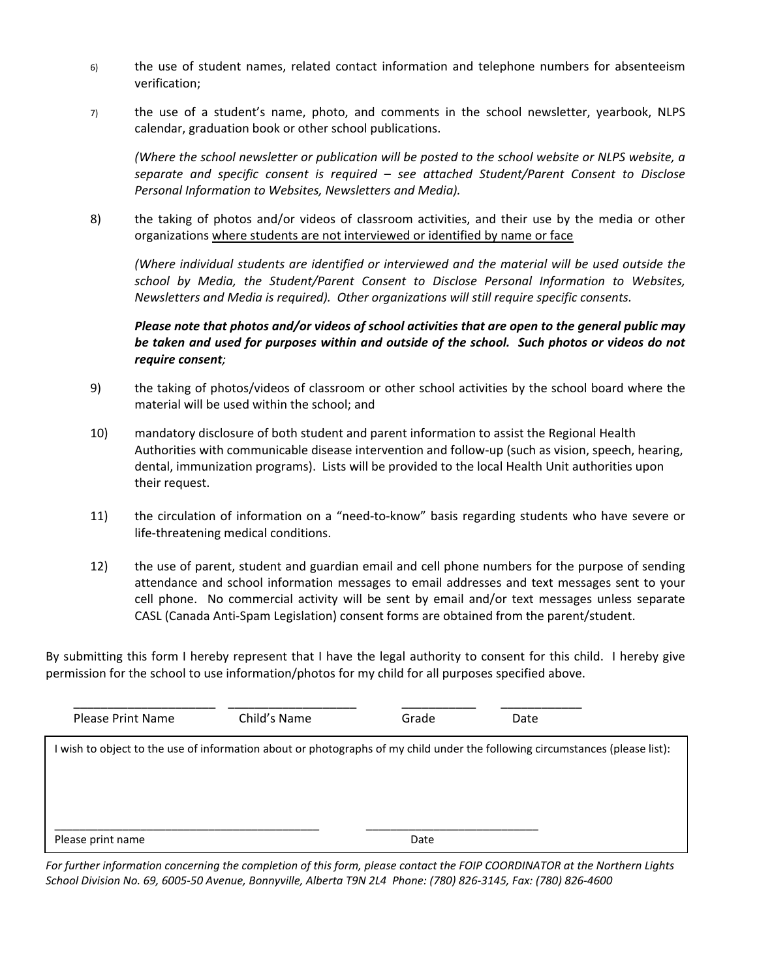- 6) the use of student names, related contact information and telephone numbers for absenteeism verification;
- 7) the use of a student's name, photo, and comments in the school newsletter, yearbook, NLPS calendar, graduation book or other school publications.

*(Where the school newsletter or publication will be posted to the school website or NLPS website, a separate and specific consent is required – see attached Student/Parent Consent to Disclose Personal Information to Websites, Newsletters and Media).*

8) the taking of photos and/or videos of classroom activities, and their use by the media or other organizations where students are not interviewed or identified by name or face

*(Where individual students are identified or interviewed and the material will be used outside the school by Media, the Student/Parent Consent to Disclose Personal Information to Websites, Newsletters and Media is required). Other organizations will still require specific consents.*

*Please note that photos and/or videos of school activities that are open to the general public may* be taken and used for purposes within and outside of the school. Such photos or videos do not *require consent;*

- 9) the taking of photos/videos of classroom or other school activities by the school board where the material will be used within the school; and
- 10) mandatory disclosure of both student and parent information to assist the Regional Health Authorities with communicable disease intervention and follow‐up (such as vision, speech, hearing, dental, immunization programs). Lists will be provided to the local Health Unit authorities upon their request.
- 11) the circulation of information on a "need-to-know" basis regarding students who have severe or life‐threatening medical conditions.
- 12) the use of parent, student and guardian email and cell phone numbers for the purpose of sending attendance and school information messages to email addresses and text messages sent to your cell phone. No commercial activity will be sent by email and/or text messages unless separate CASL (Canada Anti‐Spam Legislation) consent forms are obtained from the parent/student.

By submitting this form I hereby represent that I have the legal authority to consent for this child. I hereby give permission for the school to use information/photos for my child for all purposes specified above.

| Please Print Name                                                                                                            | Child's Name | Grade | Date |  |
|------------------------------------------------------------------------------------------------------------------------------|--------------|-------|------|--|
| I wish to object to the use of information about or photographs of my child under the following circumstances (please list): |              |       |      |  |
| Please print name                                                                                                            |              | Date  |      |  |

For further information concerning the completion of this form, please contact the FOIP COORDINATOR at the Northern Lights School Division No. 69, 6005-50 Avenue, Bonnyville, Alberta T9N 2L4 Phone: (780) 826-3145, Fax: (780) 826-4600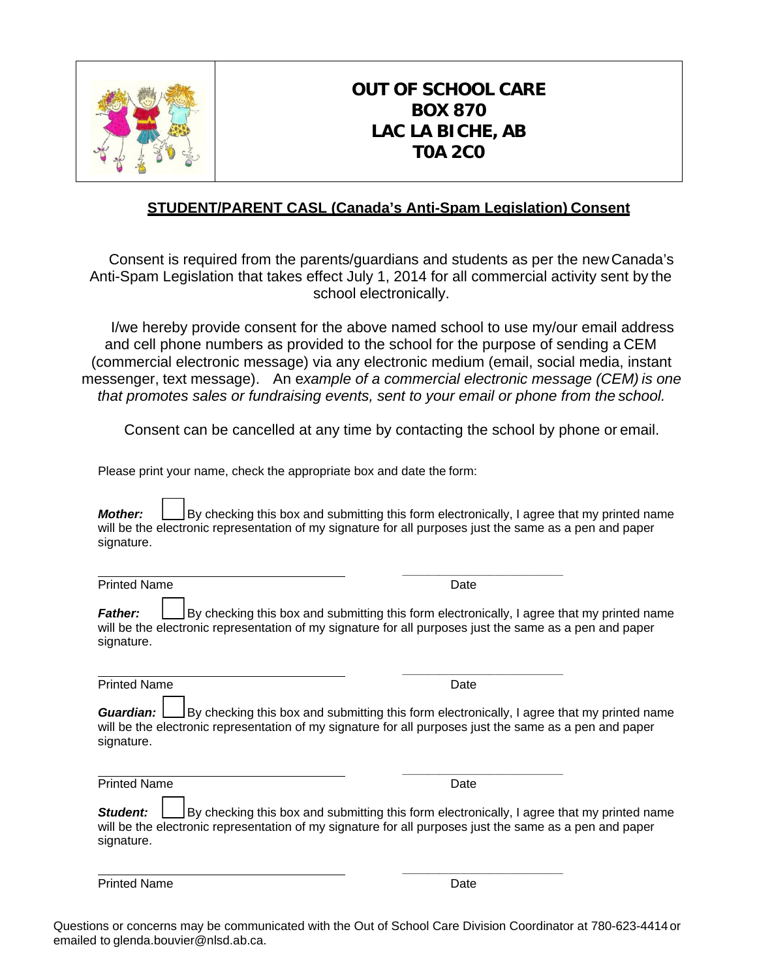

## **OUT OF SCHOOL CARE BOX 870 LAC LA BICHE, AB T0A 2C0**

### **STUDENT/PARENT CASL (Canada's Anti-Spam Legislation) Consent**

Consent is required from the parents/guardians and students as per the new Canada's Anti-Spam Legislation that takes effect July 1, 2014 for all commercial activity sent by the school electronically.

I/we hereby provide consent for the above named school to use my/our email address and cell phone numbers as provided to the school for the purpose of sending a CEM (commercial electronic message) via any electronic medium (email, social media, instant messenger, text message). An e*xample of a commercial electronic message (CEM) is one that promotes sales or fundraising events, sent to your email or phone from the school.*

Consent can be cancelled at any time by contacting the school by phone or email.

Please print your name, check the appropriate box and date the form:

 *\_\_\_\_\_\_\_\_\_\_\_\_\_\_\_\_\_\_\_\_\_\_\_\_\_\_* 

 *\_\_\_\_\_\_\_\_\_\_\_\_\_\_\_\_\_\_\_\_\_\_\_\_\_\_* 

*Mother:* By checking this box and submitting this form electronically, I agree that my printed name will be the electronic representation of my signature for all purposes just the same as a pen and paper signature.

Printed Name Date Name Date Name Date

**Father: By checking this box and submitting this form electronically, I agree that my printed name** will be the electronic representation of my signature for all purposes just the same as a pen and paper signature.

Printed Name Date

 *\_\_\_\_\_\_\_\_\_\_\_\_\_\_\_\_\_\_\_\_\_\_\_\_\_\_* 

*Guardian:* <u>Let</u> By checking this box and submitting this form electronically, I agree that my printed name will be the electronic representation of my signature for all purposes just the same as a pen and paper signature.

Printed Name Date

 *\_\_\_\_\_\_\_\_\_\_\_\_\_\_\_\_\_\_\_\_\_\_\_\_\_\_* 

**Student:** By checking this box and submitting this form electronically, I agree that my printed name will be the electronic representation of my signature for all purposes just the same as a pen and paper signature.

Printed Name Date

Questions or concerns may be communicated with the Out of School Care Division Coordinator at 780-623-4414 or emailed to glenda.bouvier@nlsd.ab.ca.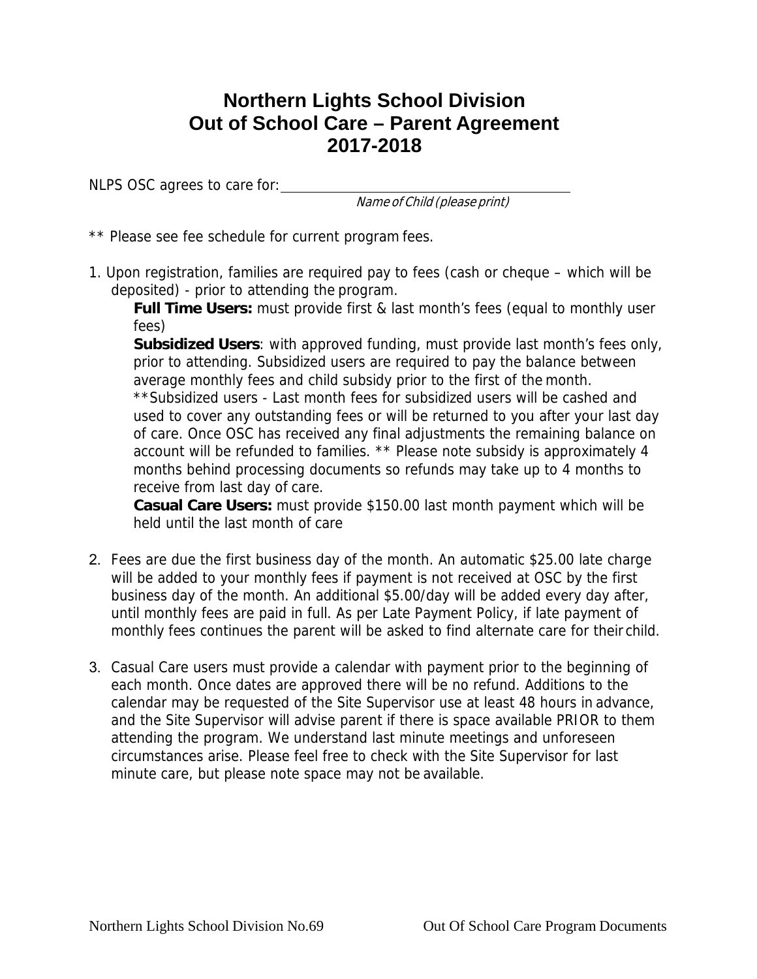## **Northern Lights School Division Out of School Care – Parent Agreement 2017-2018**

NLPS OSC agrees to care for:

Name of Child (please print)

\*\* Please see fee schedule for current program fees.

1. Upon registration, families are required pay to fees (cash or cheque – which will be deposited) - prior to attending the program.

**Full Time Users:** must provide first & last month's fees (equal to monthly user fees)

**Subsidized Users**: with approved funding, must provide last month's fees only, prior to attending. Subsidized users are required to pay the balance between average monthly fees and child subsidy prior to the first of the month.

\*\*Subsidized users - Last month fees for subsidized users will be cashed and used to cover any outstanding fees or will be returned to you after your last day of care. Once OSC has received any final adjustments the remaining balance on account will be refunded to families. \*\* Please note subsidy is approximately 4 months behind processing documents so refunds may take up to 4 months to receive from last day of care.

**Casual Care Users:** must provide \$150.00 last month payment which will be held until the last month of care

- 2. Fees are due the first business day of the month. An automatic \$25.00 late charge will be added to your monthly fees if payment is not received at OSC by the first business day of the month. An additional \$5.00/day will be added every day after, until monthly fees are paid in full. As per Late Payment Policy, if late payment of monthly fees continues the parent will be asked to find alternate care for their child.
- 3. Casual Care users must provide a calendar with payment prior to the beginning of each month. Once dates are approved there will be no refund. Additions to the calendar may be requested of the Site Supervisor use at least 48 hours in advance, and the Site Supervisor will advise parent if there is space available PRIOR to them attending the program. We understand last minute meetings and unforeseen circumstances arise. Please feel free to check with the Site Supervisor for last minute care, but please note space may not be available.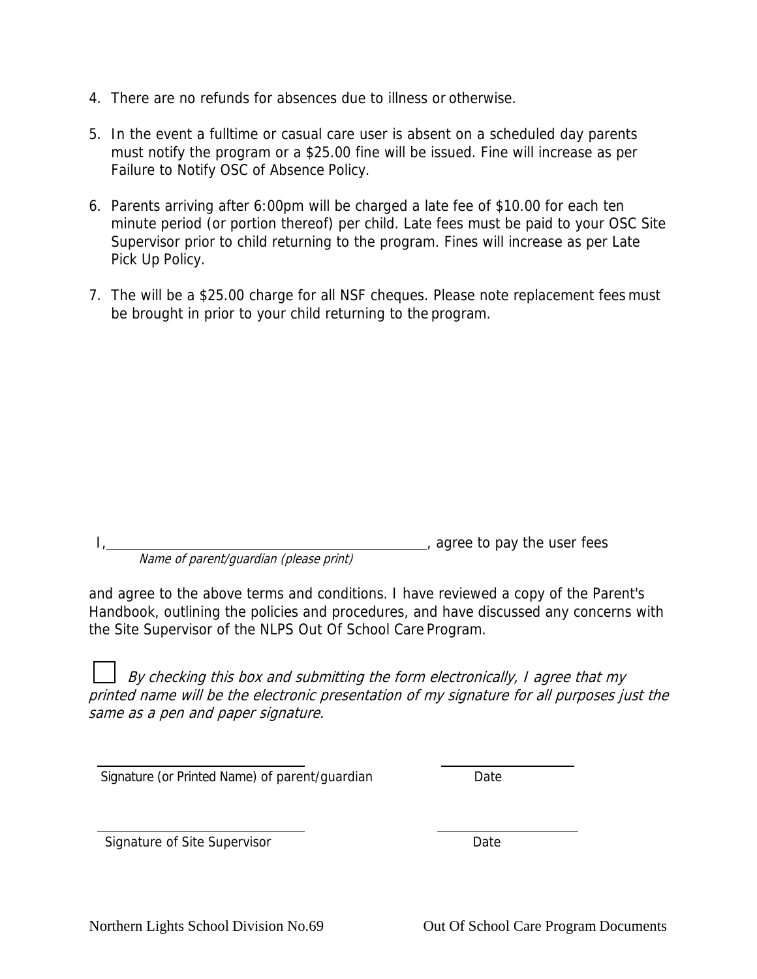- 4. There are no refunds for absences due to illness or otherwise.
- 5. In the event a fulltime or casual care user is absent on a scheduled day parents must notify the program or a \$25.00 fine will be issued. Fine will increase as per Failure to Notify OSC of Absence Policy.
- 6. Parents arriving after 6:00pm will be charged a late fee of \$10.00 for each ten minute period (or portion thereof) per child. Late fees must be paid to your OSC Site Supervisor prior to child returning to the program. Fines will increase as per Late Pick Up Policy.
- 7. The will be a \$25.00 charge for all NSF cheques. Please note replacement fees must be brought in prior to your child returning to the program.

|                                        | agree to pay the user fees |
|----------------------------------------|----------------------------|
| Name of parent/guardian (please print) |                            |

and agree to the above terms and conditions. I have reviewed a copy of the Parent's Handbook, outlining the policies and procedures, and have discussed any concerns with the Site Supervisor of the NLPS Out Of School Care Program.

By checking this box and submitting the form electronically, I agree that my printed name will be the electronic presentation of my signature for all purposes just the same as a pen and paper signature.

Signature (or Printed Name) of parent/guardian Date

Signature of Site Supervisor **Date**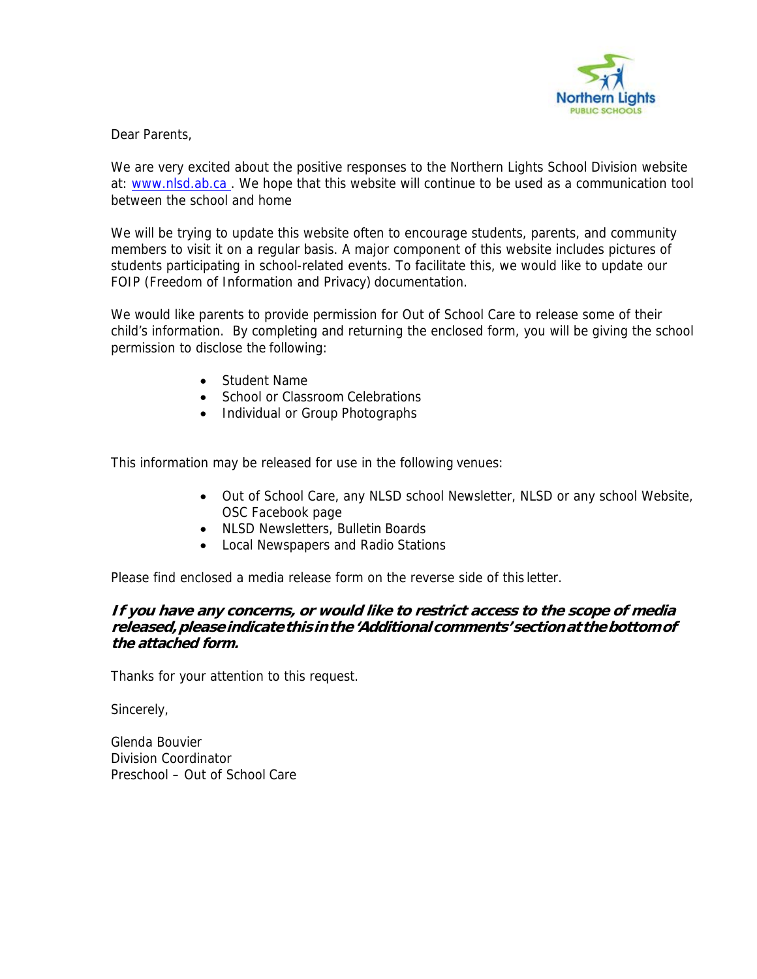

#### Dear Parents,

We are very excited about the positive responses to the Northern Lights School Division website at: www.nlsd.ab.ca. We hope that this website will continue to be used as a communication tool between the school and home

We will be trying to update this website often to encourage students, parents, and community members to visit it on a regular basis. A major component of this website includes pictures of students participating in school-related events. To facilitate this, we would like to update our FOIP (Freedom of Information and Privacy) documentation.

We would like parents to provide permission for Out of School Care to release some of their child's information. By completing and returning the enclosed form, you will be giving the school permission to disclose the following:

- Student Name
- School or Classroom Celebrations
- Individual or Group Photographs

This information may be released for use in the following venues:

- Out of School Care, any NLSD school Newsletter, NLSD or any school Website, OSC Facebook page
- NLSD Newsletters, Bulletin Boards
- Local Newspapers and Radio Stations

Please find enclosed a media release form on the reverse side of this letter.

#### **If you have any concerns, or would like to restrict access to the scope of media released, please indicate this in the 'Additional comments' section at the bottom of the attached form.**

Thanks for your attention to this request.

Sincerely,

Glenda Bouvier Division Coordinator Preschool – Out of School Care